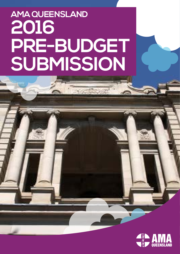## **AMA QUEENSLAND 2016 PRE-BUDGET SUBMISSION**

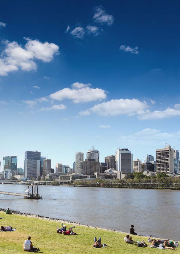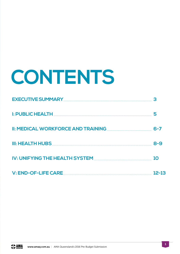## **CONTENTS**

| EXECUTIVE SUMMARY                                                   | 3         |
|---------------------------------------------------------------------|-----------|
| <b>1: PUBLIC HEALTH MANUSCON SECTION AND SET AND SET AND REALTH</b> |           |
|                                                                     |           |
|                                                                     | $8 - 9$   |
|                                                                     | 10        |
| V: END-OF-LIFE CARE                                                 | $12 - 13$ |

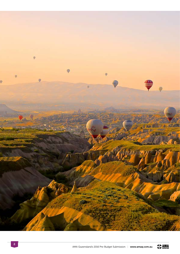

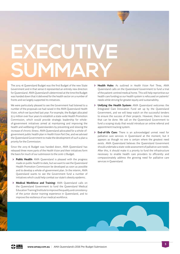

The 2015-16 Queensland Budget was the first Budget of the new State Government and in that sense it represented an entirely new direction for Queensland. AMA Queensland's determined at the time the Budget was handed down that it delivered for the health sector on a number of fronts and we largely supported its initiatives.

We were particularly pleased to see the Government had listened to a number of the proposals we had raised in the AMA Queensland *Health Vision*, which we launched last year. For example, the Budget allocated \$7.5 million over four years to establish a state-wide Health Promotion Commission, which would provide strategic leadership for wholeof-government initiatives aimed at maintaining and improving the health and wellbeing of Queenslanders by preventing and slowing the increase of chronic illness. AMA Queensland advocated for a whole-ofgovernment public health plan in *Health Vision Part One*, and we advised the Queensland Government to make the development of such a plan a priority for the Commission.

Since the 2015-16 Budget was handed down, AMA Queensland has released three more parts of the *Health Vision* and their initiatives form the basis for much of our submission to the 2016-17 Budget.

- **Public Health:** AMA Queensland is pleased with the progress made on public health to date, but we want to see the Queensland Health Promotion Commission be developed as soon as possible and to develop a whole-of-government plan. In the interim, AMA Queensland wants to see the Government fund a number of initiatives which could help combat our state's obesity epidemic.
- **Medical Workforce and Training:** AMA Queensland calls on the Queensland Government to fund the Queensland Medical Education Training Institute to improve the quality and consistency of the junior doctor training experience in Queensland, and to improve the resilience of our medical workforce.
- **Health Hubs:** As outlined in *Health Vision Part Three*, AMA Queensland calls on the Queensland Government to fund a trial of the patient-centred medical home. This will help reprioritise our health care funding so our health system is refocused on patients' needs while striving for greater equity and sustainability.
- **Unifying the Health System:** AMA Queensland welcomes the Integrated Care Innovation Fund set up by the Queensland Government, and we will keep watch on the successful tenders to ensure the success of their projects. However, there is more that can be done. We call on the Queensland Government to fund a scoping study that would introduce an online referral and appointment tracking system.
- **End-of-life Care:** There is an acknowledged unmet need for palliative care services in Queensland at the moment, but it appears as though no one is certain where the greatest need exists. AMA Queensland believes the Queensland Government should undertake a state-wide assessment of palliative care needs. After this, it should make it a priority to fund the infrastructure necessary to enable health care providers to efficiently and compassionately address the growing need for palliative care services in Queensland.

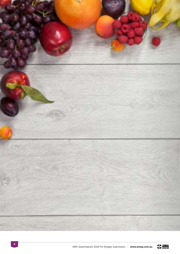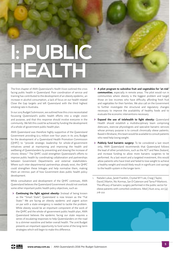

The first chapter of AMA Queensland's *Health Vision* outlined the crisis facing public health in Queensland. Poor coordination of service and training has contributed to the development of an obesity epidemic, an increase in alcohol consumption, a lack of focus on our health related Close the Gap targets and left Queensland with the third highest smoking rate in Australia.

In our 2015 Budget Submission, we outlined how this crisis necessitated focussing Queensland's public health efforts into a single vision and purpose, and that this response should involve everyone in the community. We felt this could be achieved by funding the development of a whole-of-government public health plan.

AMA Queensland was therefore highly supportive of the Queensland Government providing \$7.5 million over four years in its 2015 Budget for the development of a Queensland Health Promotion Commission (QHPC) to "provide strategic leadership for whole-of-government initiatives aimed at maintaining and improving the health and wellbeing of Queenslanders by preventing and slowing the increase of chronic illness." The QHPC could strengthen Queensland's efforts to improve public health by coordinating collaboration and partnerships between Government Departments and external stakeholders. Where such inter-departmental partnerships already exist, the QHPC could strengthen these linkages and help normalise them, making them an intrinsic part of how Government does public health policy development.

While consultation and development of the QHPC continues, AMA Queensland believes the Queensland Government should not overlook some other important public health policy objectives, such as:

**Continuing the fight against obesity:** Instead of being known as the "Smart State", Queensland is now known as the "Fat State." We are facing an obesity epidemic and urgent action on par with a state emergency is needed to tackle the problem. While obesity would be an important component of the work of the QHPC and the whole-of-government public health plan, AMA Queensland believes the epidemic facing our state requires a series of escalating responses to help Queenslanders on the road to a slimmer waistline and better overall health. The 2016 Budget presents an important opportunity to fund some of the long-term strategies which will begin to make this difference.

- **A pilot program to subsidise fruit and vegetables for 'at-risk' communities**, especially in remote areas. The pilot would run in communities where obesity is the biggest problem and target those on low incomes who have difficulty affording fresh fruit and vegetables for their families. We also call on the Government to further investigate the structural and regulatory changes necessary to improve the availability of healthy foods and to evaluate the economic interventions necessary.
- **Expand the use of telehealth to fight obesity:** Queensland Health should establish a multidisciplinary team comprising dieticians, exercise physiologists and specialist bariatric services whose primary purpose is to consult chronically obese patients. Based in Brisbane, this team would be available to consult patients who need help losing weight.
- **Publicly fund bariatric surgery:** To be considered a last resort only, AMA Queensland recommends that Queensland follows the lead of other jurisdictions, such as the ACT and New Zealand, and increase funding to allow more bariatric surgeries to be performed. As a last resort and a targeted investment, this would allow patients who have tried and failed to lose weight to achieve a healthy weight and would likely result in significant cost savings to the health system in the longer term.<sup>1</sup>
- 1. Natalie Lukas, Janet Franklin, Crystal M Y Lee, Craig J Taylor, David J Martin, Nic Kormas, Ian D Caterson and Tania P Markovic. The efficacy of bariatric surgery performed in the public sector for obese patients with comorbid conditions. Med J Aust 2014; 201 (4): 218-222

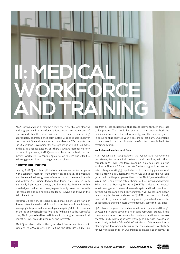# **II: MEDICAL WORKFORCE AND TRAINING**

AMA Queensland and its members know that a healthy, well planned and engaged medical workforce is fundamental to the success of Queensland's health system. Without these three elements being appropriately addressed, the health system will not be able to deliver the care that Queenslanders expect and deserve. We congratulate the Queensland Government for the significant strides it has made in this area since its election, but there is always room for more to be done. In particular, AMA Queensland believes the health of our medical workforce is a continuing cause for concern and offer the following proposals for a strategic injection of funds.

## **Healthy medical workforce**

In 2015, AMA Queensland piloted our *Resilience on the Run* program with a cohort of interns at Rockhampton Base Hospital. The program was developed following a *beyondblue* report into the mental health and wellbeing of junior doctors that found they suffered from alarmingly high rates of anxiety and burnout. *Resilience on the Run* was designed in direct response, to provide early career doctors with the resilience and coping skills needed to survive and thrive in the field of medicine.

*Resilience on the Run*, delivered by resilience expert Dr Ira van der Steenstraten, focused on skills such as resilience and mindfulness, managing interpersonal relationships, navigating difficult scenarios on the job and practical steps for asking for help. Since the successful pilot, AMA Queensland has had interest in the program from medical education units around Queensland and interstate.

AMA Queensland calls on the Queensland Government to commit \$350,000 to AMA Queensland to fund the *Resilience on the Run* program across all hospitals that accept interns through the state ballot process. This should be seen as an investment in both the individuals, to reduce the risk of anxiety, and the broader system in ensuring that talented young doctors do not burn. Queensland patients would be the ultimate beneficiaries through healthier treating physicians.

## **Well planned medical workforce**

AMA Queensland congratulates the Queensland Government on listening to the medical profession and consulting with them through high level workforce planning exercises such as the Workforce Planning Whitepaper. We further congratulate them on establishing a working group dedicated to examining prevocational medical training in Queensland. We would like to see this working group build on the principles outlined in the AMA Queensland *Health Vision Part II*, namely the establishment of the Queensland Medical Education and Training Institute (QMETI), a dedicated medical workforce organisation to work across hospital and health services to develop Queensland's medical workforce. AMA Queensland began advocating for the establishment of QMETI to ensure that all early career doctors, no matter where they are in Queensland, receive the education and training necessary to effectively serve their patients.

QMETI would improve the medical workforce in Queensland through developing linkages between pre-existing resources, standardising those resources, such as the excellent medical education units across the state, and developing services where gaps may exist. It could also work closely with the Office of the Chief Medical Officer in workforce planning and development to ensure that there is a cohesive strategy for every medical officer in Queensland to practise as effectively as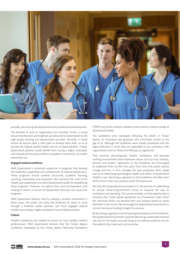

possible, set training standards and monitor professional development.

The benefits of such an organisation are manifold. Firstly, it would ensure that the best and brightest are attracted to Queensland by the high quality training and opportunities provided. Secondly, it would ensure all doctors have a clear path to develop their skills, so as to provide the highest quality health service to Queenslanders. Finally, Queensland patients would benefit from having a highly motivated, well trained and focused workforce available to treat them, no matter where they live.

## **Engaged medical workforce**

AMA Queensland is extremely supportive of programs that develop the leadership capabilities and competencies of medical practitioners. These programs should combine structured, academic learning, coaching, mentorship and evaluation. We commend the work of the Health care Leadership Unit within Queensland Health for establishing these programs. However, we believe they must be expanded, with funding to match, to ensure all Queensland clinicians can access the programs.

AMA Queensland believes that by making a prudent investment in these areas, the public can enjoy the dividends for years to come through a healthier, better planned, and more engaged medical workforce providing a higher standard of care to Queenslanders.

## **Culture**

Healthy workplaces are needed to ensure we have healthy medical professionals. AMA Queensland believes that the Tristan Jepson Guidelines, developed by the Tristan Jepson Memorial Foundation

(TJMF) may be the catalyst needed to start positive cultural change at Queensland Health.

The Guidelines were developed following the death of Tristan Jepson, an Australian law graduate who committed suicide at the age of 26. Although the Guidelines were initially developed with the legal profession in mind, they are applicable to any workplace, with organisations such as Telstra and Westpac as signatories.

They promote physiologically healthy workplaces and promote working environments that emphasise values such as trust, honesty, fairness and respect. Signatories to the Guidelines are encouraged to implement them at their own pace. Over time, they assist cultural change and this, in turn, changes the way employees think, speak and act in addressing psychological health and safety. In Queensland Health's case, becoming a signatory to the Guidelines will allow each HHS to lock in their own projects under this framework.

We note the Queensland Government is in the process of undertaking its annual whole-of-government survey to measure the way its workplaces are operating. The survey provides a timely opportunity to introduce the Tristan Jepson guidelines as a framework under which the individual HHS's can develop their own projects based on needs identified in the survey. We encourage the Queensland Government to commit necessary funding to begin this process.

By becoming a signatory to and fostering the adoption of the Guidelines, the Queensland Government would be delivering a watershed moment not only for the health and well being of its medical workforce, but for the patients they treat each and every day.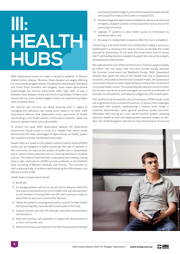## **III: HEALTH HUBS**

AMA Queensland knows our state is facing an epidemic of lifestyle related chronic disease. We know these diseases are largely affecting our most disadvantaged citizens, including the unemployed, Aboriginal and Torres Strait Islanders and refugees. Areas where generational disadvantage has become entrenched suffer high rates of type 2 diabetes, heart disease, stroke and chronic lung disease. Evidence also shows that our most disadvantaged citizens are experiencing higher rates of mental illness. <sup>2</sup>

Our doctors and clinicians are doing amazing work in regard to managing this deficiency, but clearly more needs to be done. AMA Queensland believes that Queensland must reprioritise its health care funding so our health system is refocused on patients' needs and strives for greater equity and sustainability.

To achieve this goal, AMA Queensland believes the Queensland Government should invest in a trial of a "Health Hub" which would demonstrate the clear advantages of reprioritising our health system into a patient-centred, coordinated care model.

Health Hubs are based on the patient-centred medical home (PCMH) model and are designed to better coordinate the care of patients in the community; to improve the quality of health care in Queensland and to reduce future potential costs by reducing demand on hospital services. The medical home has been used extensively overseas, dating back to 1967, and trials of a PCMH are now underway in the *CarePoint* trials occurring in Western Australia and Victoria. This provides us with a growing body of evidence demonstrating the effectiveness and efficiency of the model.

Health Hubs in Queensland should:

- > Be GP led;
- Encourage patients with (or at risk of) chronic diseases within the trial area to voluntarily enrol in the Health Hub and educate them on the benefits of having their own GP, with provisions made to allow them to opt out or reverse their decision;
- Utilise the patient's usual general practice and GP as their Health Hub (assuming they have elected to participate in the trial);
- Support shared care with GPs through improved communication and education;
- Work with primary care networks to support the development of 24 hour community care;
- Work with primary care networks and AMA Queensland to develop

community based emergency care centres that work collaboratively with local GPs to reduce the burden on hospital EDs:

- Develop integrated approaches to telephone advisory services and emergency dispatch centres to ensure patients have access to the correct type of service;
- Upgrade IT systems to allow better access to information by shared providers; and
- > Be subject to independent evaluation after the trial is completed.

Conducting a trial of the Health Hub model before rolling it out across Queensland is a necessary first step to ensure we develop the model optimal for Queensland. It will allow the Government time to ensure the IT and funding solutions needed to support the trial can be properly developed and implemented.

We understand the cost of the *CarePoint* trial in Victoria is approximately \$8 million over two years, with the costs divided equally between the Victorian Government and Medibank Private. AMA Queensland believes that, given the costs of the Health Hub trial in Queensland would be comparable to the Victorian *Carepoint* model, the Queensland Government should consider implementation without the involvement of a private health insurer. This would help alleviate any concerns within the primary care sector around managed care and the prioritisation of privately insured patients, and help encourage more GPs to participate.

The *CarePoint* trial showed the costs of moving to a PCMH model could put a significant strain on some GP practices. A review of the challenges associated with properly implementing a medical home model in Australia demonstrates some general practices would encounter difficulties with moving to a new patient-centred system, adopting electronic health records and adapting their payment models to suit<sup>3</sup>. Also, the United Kingdom's decision to move the provision of care out



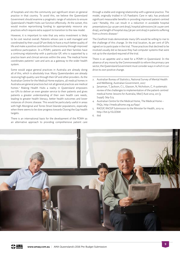of hospitals and into the community put significant strain on general practice in that country. To avoid this, we believe the Queensland Government should examine a pragmatic range of solutions to ensure Queensland's Health Hubs can function effectively. At the outset, this would involve reprioritising funding to appropriately resource any practices which require extra support to transition to the new model.

However, it is important to note that any extra investment is likely to be cost neutral overall. Patients whose care is well managed and coordinated by their usual GP are likely to have a much better quality of life and make a positive contribution to the economy through improved workforce participation. In a PCMH, patients and their families have a continuing relationship with a particular GP, who is supported by a practice team and clinical services within the area. The medical home coordinates patients' care and acts as a gateway to the wider health system.

Some would argue general practices in Australia are already doing all of this, which is absolutely true. Many Queenslanders are already receiving high quality care through their GP and other providers. As the Australian Centre for the Medical Home explains, all medical homes in Australia are general practices but not all general practices are medical homes.4 Making Health Hubs a reality in Queensland empowers our GPs to deliver an even greater service to their patients and gives patients a greater understanding of their own health care needs, leading to greater health literacy, better health outcomes and lower instances of chronic disease. This would be particularly useful in areas with high Aboriginal and Torres Strait Islander populations, especially when there seems to be slow progress towards Closing the Gap health targets.

There is an international basis for the development of the PCMH as an alternative approach to providing comprehensive patient care through a stable and ongoing relationship with a general practice. The model, originally trialled in US Paediatric Care in 1967, has produced significant measurable benefits in providing improved patient-centred care.<sup>5</sup> Notably, this can result in a reduction in avoidable hospital presentations (32-40 per cent drop), hospital admissions (16-24 per cent drop), and length of hospital stay (36 per cent drop) in patients suffering from a chronic disease.<sup>6</sup>

The *CarePoint* trials demonstrate many GPs would be willing to rise to the challenge of this change. In the trial location, 85 per cent of GPs signed on to participate in the trial. Those practices that declined to be involved usually did so because they had computer systems that were not up to the standard required of the trial.

There is an appetite and a need for a PCMH in Queensland. In the absence of any move by the Commonwealth to reform the primary care sector, the Queensland Government must consider ways in which it can drive its own positive change.

- 2. Australian Bureau of Statistics, National Survey of Mental Health and Wellbeing, Australian Government, 2007
- 3. Janamian, T, Jackson, C.L, Glasson, N, Nicholson, C, A systematic review of the challenges to implementation of the patient-centred medical home: lessons for Australia, Med J Aust 2014; 201 (3 Suppl): S69-S73.
- 4. Australian Centre for the Medical Home, The Medical Home FAQs, http://medicalhome.org.au/faqs/
- 5. RACGP, RACGP Submission to the Minister for Health, 2013-14 http://bit.ly/1SLIObW
- 6. ibid

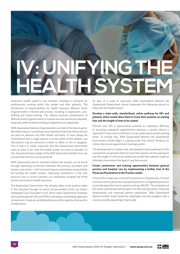## INIEYING **HEALTH SYSTEM**

Australia's health system is too complex, resulting in confusion for professionals working within the system and their patients. The distribution of responsibilities for health between different levels of government is blurred and unclear, resulting in duplication, costshifting and blame-shifting. The relative financial contributions of different levels of government to hospital services are fiercely disputed, especially when hospital funding arrangements are negotiated.

AMA Queensland believes Queenslanders are tired of the blame game. We believe there is something more important than how these services are paid for patients and their health outcomes. It must always be remembered that a single patient is at the centre of this debate, and that person may be someone's mother or father or son or daughter. This is why it is vitally important that the Queensland Government looks at ways it can unify the health system as much as possible. In this, the penultimate chapter of the AMA Queensland *Health Vision*, we will examine how this can be achieved.

AMA Queensland and its members believe the answer can be found through improving connections between the primary, secondary and tertiary care sectors. Until one level of government takes responsibility for funding the health system, improving connections is the only practical way to ensure patients can seamlessly navigate the three sectors and improve health outcomes.

The Queensland Government has already taken some positive steps in this direction through its recent announcement of the \$35 million Integrated Care Innovation Fund, which tasks Queensland Hospitals with partnering with GPs and PHNs to develop a coordinated approach to treatment. However, we believe there are other opportunities worthy of exploration.

As part of a suite of measures, AMA Queensland believes the Queensland Government should implement the following actions to help unify the health system.

## **Develop a state-wide, standardised, online pathway for GPs and patients which would allow them to track their position on waiting lists and the length of time to be waited.**

Patients and GPs in Queensland continue to experience difficulty in accessing outpatient appointments because a named referral is required for many clinics and there is no accurate way to predict waiting times. To remedy this, AMA Queensland believes the Queensland Government should begin a scoping study that would introduce an online referral and appointment tracking system.

The development of a state-wide, standardised online pathway for GPs and patients would allow them to track their position on the waiting list and the length of time to be waited and would help patients make an informed choice about the type of care they access.

## **Create connections and training opportunities between general practice and hospital care by implementing a further trial of the Physician/Psychiatrist in the Practice model.**

A trial of this model was run by GP Connections in Toowoomba. The trial involved visits by physicians and psychiatrists to rural general practices to provide specialist care to patients and up-skill GPs. The evaluation of this study outlined educational gains for GPs and specialists, improved relationships and improved patient satisfaction. AMA Queensland believes further study should be undertaken into this program with a view to possibly expanding it state-wide.



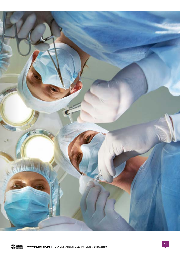

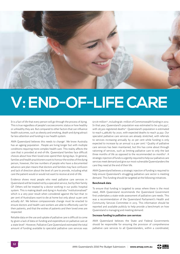

## **V: END-OF-LIFE CARE**

It is a fact of life that every person will go through the process of dying. This is true regardless of people's socioeconomic status or how healthy or unhealthy they are. But compared to other factors that can influence health outcomes, such as obesity and smoking, death and dying attract far less attention and funding in our health system.

AMA Queensland believes this needs to change<sup>7</sup>. We know Australia has an ageing population . People are living longer but with multiple conditions requiring more complex health care. This reality affects the care that is provided at end-of-life. Queensland families face difficult choices about how their loved ones spend their dying days. In general, families and health practitioners want to honour the wishes of the dying person, however, the low numbers of people who have a documented advance care plan means that doctors and families may face confusion and lack of direction about the level of care to provide, including what care the patient would or would not want to receive at end-of-life.

Evidence shows most people who need palliative care services in Queensland will be treated not by a specialist service, but by their family GP. Others will be treated by a doctor working in our public hospital system. This is making death and dying in Australia "institutionalised" which is a very poor result when considered against the fact that 70 per cent of Australians want to die at home but only about 14 per cent actually do<sup>8</sup>. We believe compassionate change must be enacted to ensure doctors and health care workers are able to effectively care for their patients, and that the wishes of patients and their loved ones are respected.

Reliable data on the use and uptake of palliative care is difficult to come by given a lack of data on funding and expenditure on palliative care at a state level<sup>9</sup>. However, Palliative Care Queensland estimated the total amount of funding available to specialist palliative care services was

\$77.81 million<sup>10</sup>, including \$8.1 million of Commonwealth funding in 2012. In that year, Queensland's population was estimated to be  $4.610.932$ <sup>11</sup>, with 28,300 registered deaths<sup>12</sup>. Queensland's population is estimated to reach 5,488,667 by 2020, with expected deaths to reach 32,932. Our specialist palliative care services are already stretched, with referrals to services increasing annually by 20 per cent while funding is only expected to increase by an annual 12.9 per cent.<sup>13</sup> Quality of palliative care services has been maintained, but this has come about through rationing of services, such as limiting palliative care to only the last three months of life as opposed to the recommended six months<sup>14</sup>. A strategic injection of funds is urgently required to help our palliative care services meet demand and give our most vulnerable Queenslanders the care they need at the end of their life.

AMA Queensland believes a strategic injection of funding is required to help ensure Queensland's struggling palliative care sector is meeting demand. This funding should be targeted at the following initiatives.

## **Benchmark data**

To ensure that funding is targeted to areas where there is the most need, AMA Queensland recommends the Queensland Government first undertakes a state-wide assessment of palliative care needs. This was a recommendation of the Queensland Parliament's Health and Community Services Committee in 2013. This information should be reported and available publicly to help provide a benchmark on how Queensland is managing and meeting demand.

## **Increase funding to palliative care services**

AMA Queensland believes the State and Federal Governments should be responsible for ensuring the provision of comprehensive palliative care services to all Queenslanders, within a coordinated,

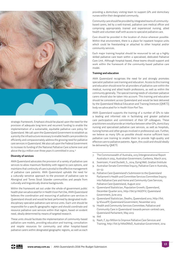

strategic framework. Emphasis should be placed upon the need for the provision of adequate long-term and recurrent funding to enable the implementation of a sustainable, equitable palliative care policy for Queensland. We call upon the Queensland Government to establish as a priority the infrastructure necessary to enable health care providers to efficiently and compassionately address the growing need for palliative care services in Queensland. We also call upon the Federal Government to increase its funding of the National Palliative Care scheme over and above the \$52 million over three years it committed in 2014.<sup>15</sup>

## **Diversity of services**

AMA Queensland advocates the provision of a variety of palliative care services to allow maximum flexibility with regard to care options, and maintains that continuity of care is pivotal to the effective management of palliative care patients. AMA Queensland upholds the need for a culturally sensitive approach to the provision of palliative care to Aboriginal and Torres Strait Islander communities and people from culturally and linguistically diverse backgrounds.

Within the framework set out under the whole-of-government public health plan we advocated for in *Health Vision Part One*, AMA Queensland believes the coordination and resourcing of palliative care services in Queensland should and would be best performed by designated multidisciplinary specialist palliative care service units. Each unit should be responsible for a specific geographic region and should coordinate and resource palliative care services within that region, based on evident need, ideally determined by means of targeted research.

These units should facilitate the implementation of community-based palliative care models, providing education and training, consultation and respite resources for community and other hospital-based palliative carers within designated geographic regions, as well as each

providing a domiciliary visiting team to support GPs and domiciliary nurses within their designated community.

Community care should be provided by integrated teams of communitybased carers, led by a well-trained, palliative care medical officer and comprising appropriately trained and experienced nursing, allied health and volunteer staff with access to specialist palliative care.

Care should be provided in the location of choice wherever possible. Within that environment, there is a place for inpatient hospice units which could be freestanding or attached to other hospital and/or community services.

Each major training hospital should be resourced to set up a highly skilled palliative care team within a specialised, dedicated Palliative Care Unit. Although hospital-based, these teams should support and work within the framework of the community-based palliative care model.

### **Training and education**

AMA Queensland recognises the need for and strongly promotes specialist palliative care training and education. Access to this training and education should exist for all providers of palliative care within the medical, nursing and allied health professions, as well as within the community generally. The special training needs of volunteer palliative carers should also be taken into account. This training and education should be consistent across Queensland and would be best delivered by the Queensland Medical Education and Training Institute (QMETI) body we advocated for in *Health Vision Part Two*.

AMA Queensland supports the training of a number of GPs to take a leading and informed role in facilitating and greater palliative care participation and commitment of their GP colleagues. These practitioners would provide an interface between other GPs, domiciliary nursing and specialised palliative care services, as well as hospitals, nursing homes and other groups involved in professional care. Further, we believe as many GPs as possible should receive sufficient basic palliative care training to enable them to provide high-quality and effective care to palliative patients. Again, this could and should ideally be delivered by QMETI.

- 7. The Commonwealth of Australia, 2015 Intergenerational Report Australia in 2055, Australian Government, Canberra, March 2015
- 8. Swerissen, H and Duckett, S., 2014, Dying Well. Grattan Institute
- 9. Australian Senate Committee Inquiry, Palliative Care in Australia, 50–53
- 10. Palliative Care Queensland's Submission to the Queensland Parliament's Health and Committee Services Committee Inquiry into Palliative Care and Home and Community Care Services, Palliative Care Queensland, August 2012
- 11. Queensland Statistician, Population Growth, Queensland, December Quarter 2012, http://bit.ly/1hGDYiV, Queensland Government, June 2013
- 12. Queensland Statistician, Deaths, Queensland 2012, http://bit. ly/1Ewu0FP, Queensland Government, November 2013
- 13. Health and Community Services Committee, Palliative and Community Care in Queensland: towards person-centred care, Queensland Parliament, May 2013
- 14. ibid
- 15. Nash, F, \$52 Million to Improve Palliative Care Services and Training, http://bit.ly/1MwDMzD, Australian Government, 2014